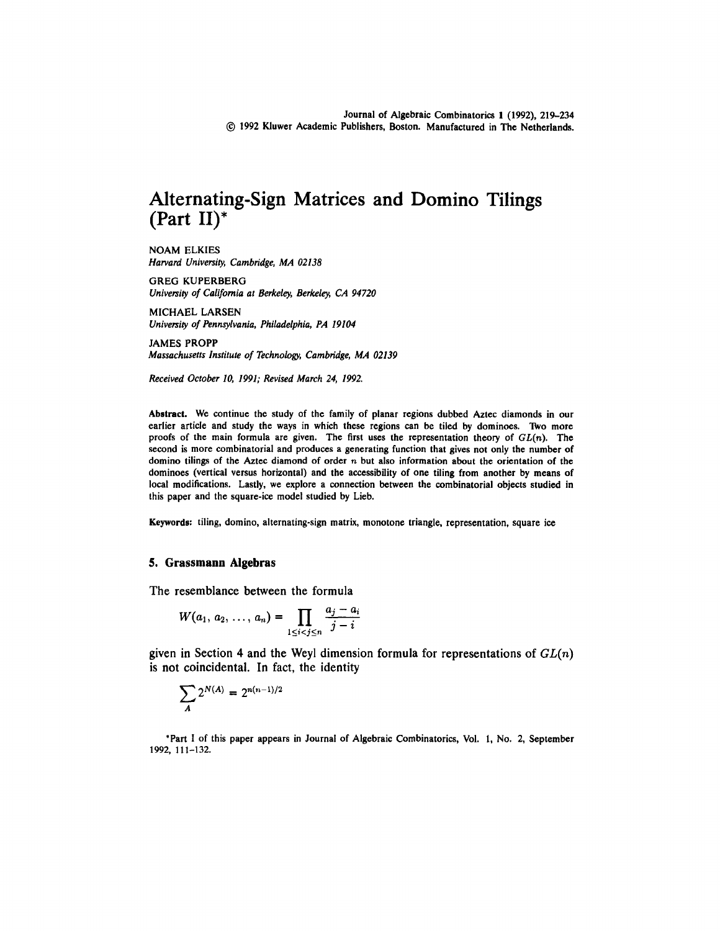# Alternating-Sign Matrices and Domino Tilings (Part II)\*

NOAM ELKIES *Harvard University, Cambridge, MA 02138*

GREG KUPERBERG *University of California at Berkeley, Berkeley, CA 94720*

MICHAEL LARSEN *University of Pennsylvania, Philadelphia, PA 19104*

JAMES PROPP *Massachusetts Institute of Technology, Cambridge, MA 02139*

*Received October 10, 1991; Revised March 24, 1992.*

Abstract. We continue the study of the family of planar regions dubbed Aztec diamonds in our earlier article and study the ways in which these regions can be tiled by dominoes. Two more proofs of the main formula are given. The first uses the representation theory of *GL(n).* The second is more combinatorial and produces a generating function that gives not only the number of domino tilings of the Aztec diamond of order n but also information about the orientation of the dominoes (vertical versus horizontal) and the accessibility of one tiling from another by means of local modifications. Lastly, we explore a connection between the combinatorial objects studied in this paper and the square-ice model studied by Lieb.

Keywords: tiling, domino, alternating-sign matrix, monotone triangle, representation, square ice

### **5. Grassmann Algebras**

The resemblance between the formula

$$
W(a_1, a_2, \ldots, a_n) = \prod_{1 \leq i < j \leq n} \frac{a_j - a_i}{j - i}
$$

given in Section 4 and the Weyl dimension formula for representations of *GL(n)* is not coincidental. In fact, the identity

$$
\sum_{A} 2^{N(A)} = 2^{n(n-1)/2}
$$

\*Part I of this paper appears in Journal of Algebraic Combinatorics, Vol. 1, No. 2, September 1992, 111-132.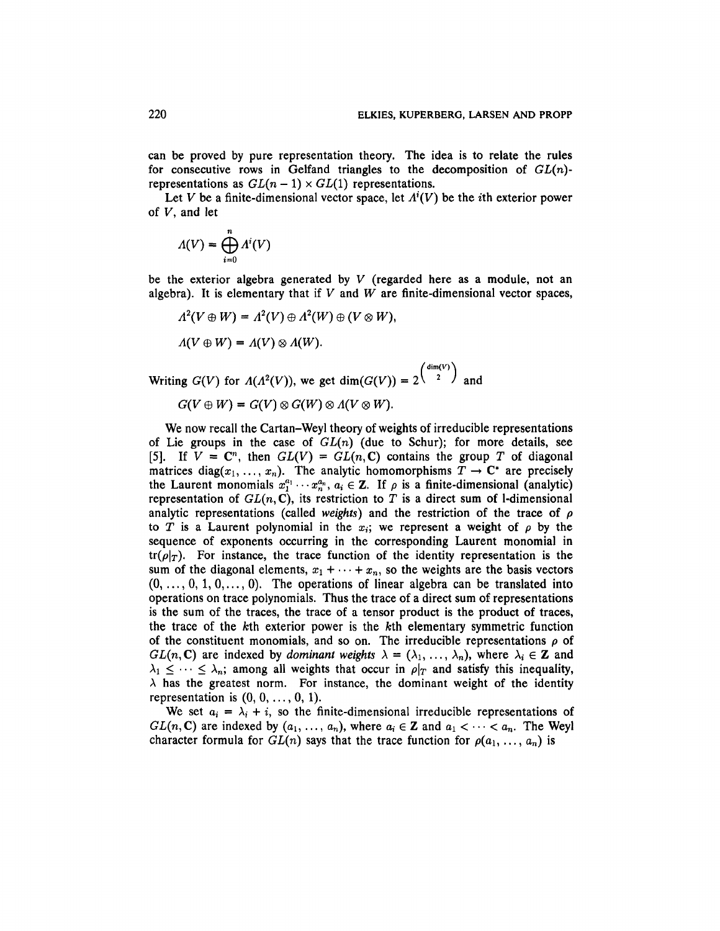can be proved by pure representation theory. The idea is to relate the rules for consecutive rows in Gelfand triangles to the decomposition of *GL(n)* representations as  $GL(n-1) \times GL(1)$  representations.

Let *V* be a finite-dimensional vector space, let  $A^{i}(V)$  be the *i*th exterior power of *V,* and let

$$
\Lambda(V)=\bigoplus_{i=0}^n\Lambda^i(V)
$$

be the exterior algebra generated by *V* (regarded here as a module, not an algebra). It is elementary that if *V* and *W* are finite-dimensional vector spaces,

$$
A^{2}(V \oplus W) = A^{2}(V) \oplus A^{2}(W) \oplus (V \otimes W),
$$
  

$$
A(V \oplus W) = A(V) \otimes A(W).
$$

Writing  $G(V)$  for  $\Lambda(\Lambda^2(V))$ , we get  $\dim(G(V)) = 2^{\left(\frac{\dim(V)}{2}\right)}$  and

$$
G(V \oplus W) = G(V) \otimes G(W) \otimes \Lambda(V \otimes W).
$$

We now recall the Cartan-Weyl theory of weights of irreducible representations of Lie groups in the case of *GL(n)* (due to Schur); for more details, see [5]. If  $V = \mathbb{C}^n$ , then  $GL(V) = GL(n, \mathbb{C})$  contains the group T of diagonal matrices diag( $x_1, \ldots, x_n$ ). The analytic homomorphisms  $T \to \mathbb{C}^*$  are precisely the Laurent monomials  $x_1^{a_1} \cdots x_n^{a_n}$ ,  $a_i \in \mathbb{Z}$ . If  $\rho$  is a finite-dimensional (analytic) representation of  $GL(n, \mathbb{C})$ , its restriction to T is a direct sum of 1-dimensional analytic representations (called *weights)* and the restriction of the trace of *p* to T is a Laurent polynomial in the  $x_i$ ; we represent a weight of  $\rho$  by the sequence of exponents occurring in the corresponding Laurent monomial in  $tr(\rho|_{T})$ . For instance, the trace function of the identity representation is the sum of the diagonal elements,  $x_1 + \cdots + x_n$ , so the weights are the basis vectors  $(0, \ldots, 0, 1, 0, \ldots, 0)$ . The operations of linear algebra can be translated into operations on trace polynomials. Thus the trace of a direct sum of representations is the sum of the traces, the trace of a tensor product is the product of traces, the trace of the *k*th exterior power is the *k*th elementary symmetric function of the constituent monomials, and so on. The irreducible representations  $\rho$  of  $GL(n, \mathbb{C})$  are indexed by *dominant weights*  $\lambda = (\lambda_1, \ldots, \lambda_n)$ , where  $\lambda_i \in \mathbb{Z}$  and  $\lambda_1 \leq \cdots \leq \lambda_n$ ; among all weights that occur in  $\rho|_T$  and satisfy this inequality,  $\lambda$  has the greatest norm. For instance, the dominant weight of the identity representation is  $(0, 0, \ldots, 0, 1)$ .

We set  $a_i = \lambda_i + i$ , so the finite-dimensional irreducible representations of  $GL(n, \mathbb{C})$  are indexed by  $(a_1, \ldots, a_n)$ , where  $a_i \in \mathbb{Z}$  and  $a_1 < \cdots < a_n$ . The Weyl character formula for  $GL(n)$  says that the trace function for  $\rho(a_1, \ldots, a_n)$  is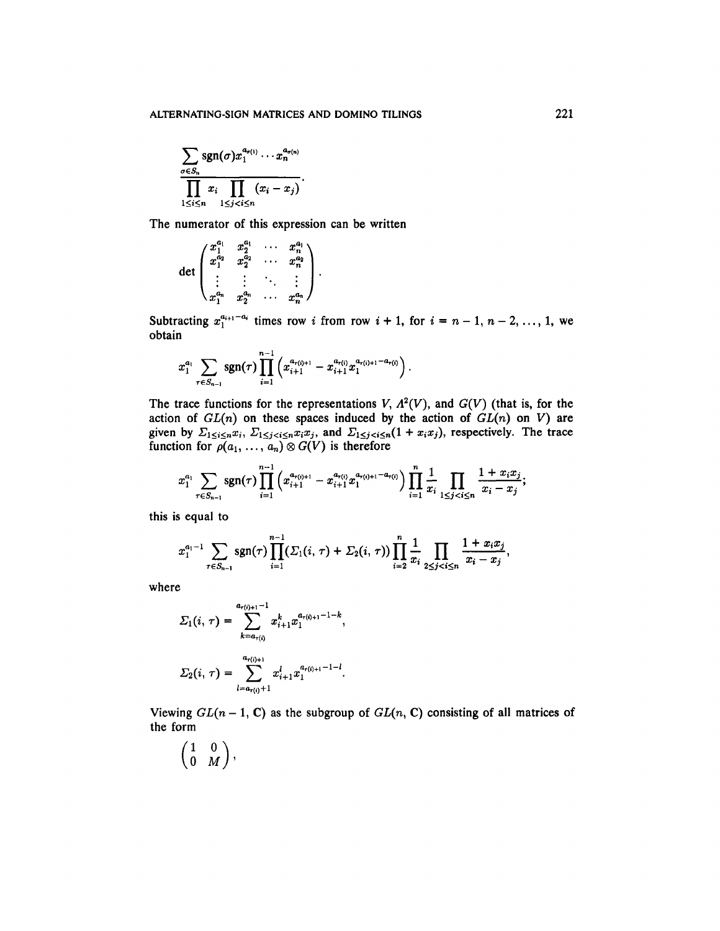$$
\frac{\sum_{\sigma \in S_n} \operatorname{sgn}(\sigma) x_1^{a_{\sigma(1)}} \cdots x_n^{a_{\sigma(n)}}}{\prod_{1 \leq i \leq n} x_i \prod_{1 \leq j < i \leq n} (x_i - x_j)}.
$$

The numerator of this expression can be written

$$
\det \begin{pmatrix} x_1^{a_1} & x_2^{a_1} & \cdots & x_n^{a_1} \\ x_1^{a_2} & x_2^{a_2} & \cdots & x_n^{a_2} \\ \vdots & \vdots & \ddots & \vdots \\ x_1^{a_n} & x_2^{a_n} & \cdots & x_n^{a_n} \end{pmatrix}.
$$

Subtracting  $x_1^{a_{i+1}-a_i}$  times row *i* from row  $i + 1$ , for  $i = n - 1, n - 2, ..., 1$ , we obtain

$$
x_1^{a_1} \sum_{\tau \in S_{n-1}} \operatorname{sgn}(\tau) \prod_{i=1}^{n-1} \left( x_{i+1}^{a_{\tau(i)+1}} - x_{i+1}^{a_{\tau(i)}} x_1^{a_{\tau(i)+1}-a_{\tau(i)}} \right).
$$

The trace functions for the representations  $V$ ,  $\Lambda^2(V)$ , and  $G(V)$  (that is, for the action of *GL(n)* on these spaces induced by the action of *GL(n)* on V) are given by  $\Sigma_{1 \le i \le n} x_i$ ,  $\Sigma_{1 \le j \le i \le n} x_i x_j$ , and  $\Sigma_{1 \le j \le i \le n} (1 + x_i x_j)$ , respectively. The trace function for  $\rho(a_1, \ldots, a_n) \otimes G(V)$  is therefore

$$
x_1^{a_1}\sum_{\tau\in S_{n-1}}\operatorname{sgn}(\tau)\prod_{i=1}^{n-1}\left(x_{i+1}^{a_{\tau(i)+1}}-x_{i+1}^{a_{\tau(i)}}x_1^{a_{\tau(i)+1}-a_{\tau(i)}}\right)\prod_{i=1}^n\frac{1}{x_i}\prod_{1\leq j
$$

this is equal to

$$
x_1^{a_1-1}\sum_{\tau\in S_{n-1}}sgn(\tau)\prod_{i=1}^{n-1}(\Sigma_1(i,\,\tau)+\Sigma_2(i,\,\tau))\prod_{i=2}^n\frac{1}{x_i}\prod_{2\leq j
$$

where

$$
\Sigma_1(i,\,\tau) = \sum_{k=a_{\tau(i)}}^{a_{\tau(i)+1}-1} x_{i+1}^k x_1^{a_{\tau(i)+1}-1-k},
$$

$$
\Sigma_2(i,\,\tau) = \sum_{l=a_{\tau(i)}+1}^{a_{\tau(i)+1}} x_{i+1}^l x_1^{a_{\tau(i)+1}-1-l}.
$$

Viewing  $GL(n-1, C)$  as the subgroup of  $GL(n, C)$  consisting of all matrices of the form

$$
\begin{pmatrix} 1 & 0 \\ 0 & M \end{pmatrix},
$$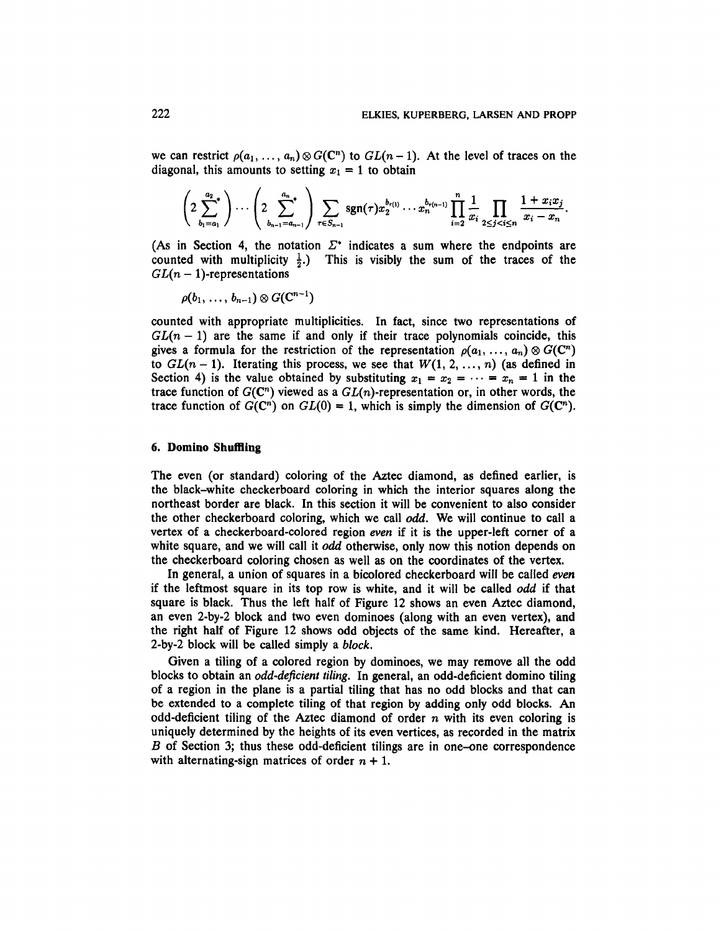we can restrict  $\rho(a_1, \ldots, a_n) \otimes G(C^n)$  to  $GL(n-1)$ . At the level of traces on the diagonal, this amounts to setting  $x_1 = 1$  to obtain

$$
\left(2\sum_{b_1=a_1}^{a_2}\right)\cdots\left(2\sum_{b_{n-1}=a_{n-1}}^{a_n}\right)\sum_{\tau\in S_{n-1}}sgn(\tau)x_2^{b_{\tau(1)}}\cdots x_n^{b_{\tau(n-1)}}\prod_{i=2}^n\frac{1}{x_i}\prod_{2\leq j
$$

(As in Section 4, the notation  $\Sigma^*$  indicates a sum where the endpoints are counted with multiplicity  $\frac{1}{2}$ .) This is visibly the sum of the traces of the  $GL(n-1)$ -representations

$$
\rho(b_1,\,\ldots,\,b_{n-1})\otimes G(\mathbf{C}^{n-1})
$$

counted with appropriate multiplicities. In fact, since two representations of  $GL(n-1)$  are the same if and only if their trace polynomials coincide, this gives a formula for the restriction of the representation  $\rho(a_1, \ldots, a_n) \otimes G(C^n)$ to  $GL(n-1)$ . Iterating this process, we see that  $W(1, 2, ..., n)$  (as defined in Section 4) is the value obtained by substituting  $x_1 = x_2 = \cdots = x_n = 1$  in the trace function of  $G(\mathbb{C}^n)$  viewed as a  $GL(n)$ -representation or, in other words, the trace function of  $G(\mathbb{C}^n)$  on  $GL(0) = 1$ , which is simply the dimension of  $G(\mathbb{C}^n)$ .

#### **6. Domino Shuffling**

The even (or standard) coloring of the Aztec diamond, as defined earlier, is the black-white checkerboard coloring in which the interior squares along the northeast border are black. In this section it will be convenient to also consider the other checkerboard coloring, which we call *odd.* We will continue to call a vertex of a checkerboard-colored region *even* if it is the upper-left corner of a white square, and we will call it *odd* otherwise, only now this notion depends on the checkerboard coloring chosen as well as on the coordinates of the vertex.

In general, a union of squares in a bicolored checkerboard will be called *even* if the leftmost square in its top row is white, and it will be called *odd* if that square is black. Thus the left half of Figure 12 shows an even Aztec diamond, an even 2-by-2 block and two even dominoes (along with an even vertex), and the right half of Figure 12 shows odd objects of the same kind. Hereafter, a 2-by-2 block will be called simply a *block.*

Given a tiling of a colored region by dominoes, we may remove all the odd blocks to obtain an *odd-deficient tiling.* In general, an odd-deficient domino tiling of a region in the plane is a partial tiling that has no odd blocks and that can be extended to a complete tiling of that region by adding only odd blocks. An odd-deficient tiling of the Aztec diamond of order *n* with its even coloring is uniquely determined by the heights of its even vertices, as recorded in the matrix *B* of Section 3; thus these odd-deficient tilings are in one-one correspondence with alternating-sign matrices of order  $n + 1$ .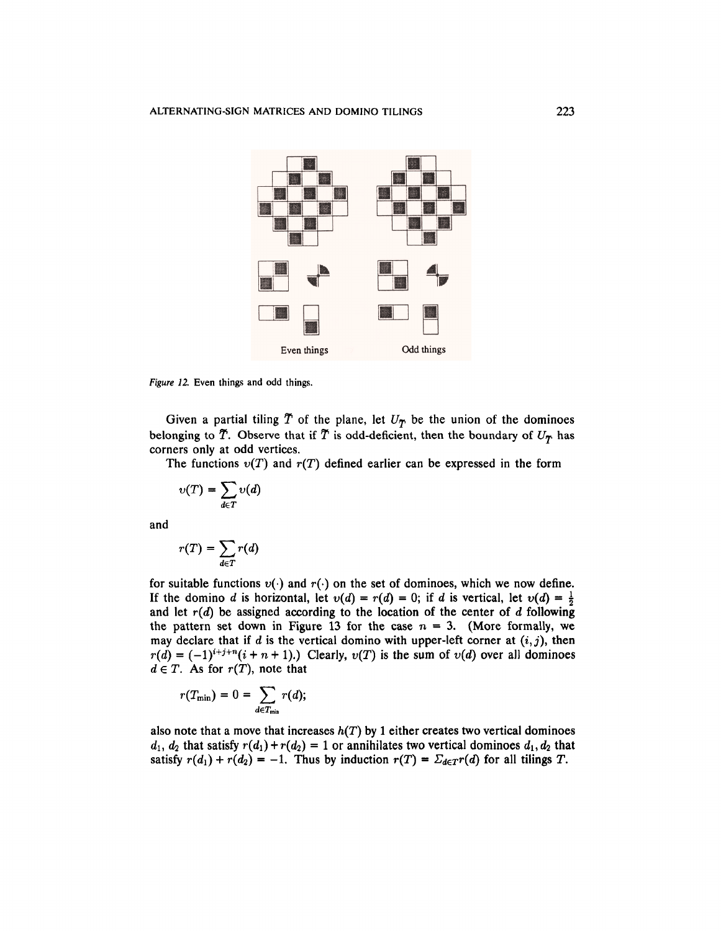

*Figure 12.* Even things and odd things.

Given a partial tiling  $\tilde{T}$  of the plane, let  $U_T$  be the union of the dominoes belonging to  $\tilde{T}$ . Observe that if  $\tilde{T}$  is odd-deficient, then the boundary of  $U_T$  has corners only at odd vertices.

The functions  $v(T)$  and  $r(T)$  defined earlier can be expressed in the form

$$
v(T) = \sum_{d \in T} v(d)
$$

and

$$
r(T) = \sum_{d \in T} r(d)
$$

for suitable functions  $v(\cdot)$  and  $r(\cdot)$  on the set of dominoes, which we now define. If the domino *d* is horizontal, let  $v(d) = r(d) = 0$ ; if *d* is vertical, let  $v(d) = \frac{1}{2}$ and let *r(d)* be assigned according to the location of the center of *d* following the pattern set down in Figure 13 for the case  $n = 3$ . (More formally, we may declare that if *d* is the vertical domino with upper-left corner at (*i*,*j*), then  $r(d) = (-1)^{i+j+n}(i+n+1)$ .) Clearly,  $v(T)$  is the sum of  $v(d)$  over all dominoes  $d \in T$ . As for  $r(T)$ , note that

$$
r(T_{\min})=0=\sum_{d\in T_{\min}}r(d);
$$

also note that a move that increases  $h(T)$  by 1 either creates two vertical dominoes  $d_1, d_2$  that satisfy  $r(d_1) + r(d_2) = 1$  or annihilates two vertical dominoes  $d_1, d_2$  that satisfy  $r(d_1) + r(d_2) = -1$ . Thus by induction  $r(T) = \sum_{d \in T} r(d)$  for all tilings T.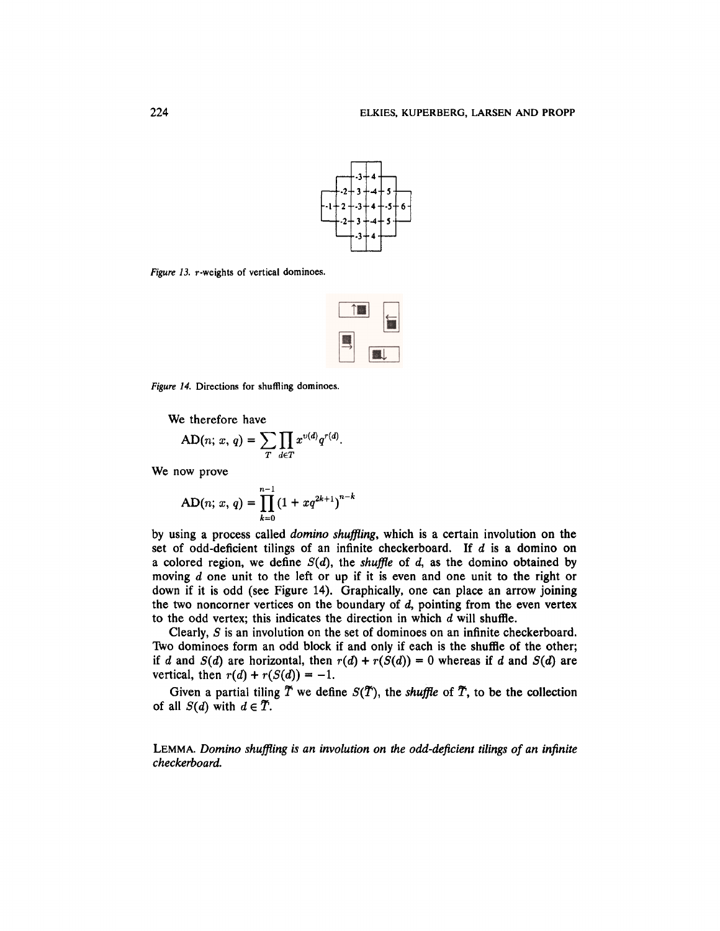

*Figure 13.* r-weights of vertical dominoes.



*Figure 14.* Directions for shuffling dominoes.

We therefore have

$$
AD(n; x, q) = \sum_{T} \prod_{d \in T} x^{v(d)} q^{r(d)}.
$$

We now prove

$$
AD(n; x, q) = \prod_{k=0}^{n-1} (1 + xq^{2k+1})^{n-k}
$$

by using a process called *domino shuffling,* which is a certain involution on the set of odd-deficient tilings of an infinite checkerboard. If *d* is a domino on a colored region, we define *S(d),* the *shuffle* of *d,* as the domino obtained by moving *d* one unit to the left or up if it is even and one unit to the right or down if it is odd (see Figure 14). Graphically, one can place an arrow joining the two noncorner vertices on the boundary of *d,* pointing from the even vertex to the odd vertex; this indicates the direction in which *d* will shuffle.

Clearly, *S* is an involution on the set of dominoes on an infinite checkerboard. Two dominoes form an odd block if and only if each is the shuffle of the other; if *d* and  $S(d)$  are horizontal, then  $r(d) + r(S(d)) = 0$  whereas if *d* and  $S(d)$  are vertical, then  $r(d) + r(S(d)) = -1$ .

Given a partial tiling  $\tilde{T}$  we define  $S(\tilde{T})$ , the *shuffle* of  $\tilde{T}$ , to be the collection of all  $S(d)$  with  $d \in \tilde{T}$ .

LEMMA. *Domino shuffling is an involution on the odd-deficient tilings of an infinite checkerboard.*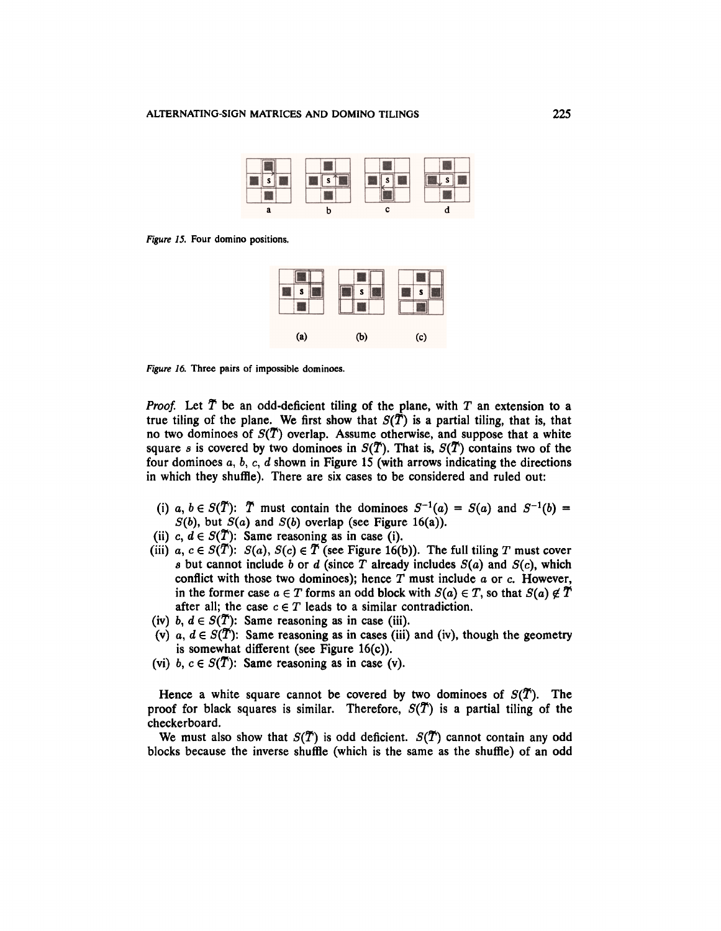

*Figure 15.* Four domino positions.



*Figure 16.* Three pairs of impossible dominoes.

*Proof.* Let *T* be an odd-deficient tiling of the plane, with *T* an extension to a true tiling of the plane. We first show that  $S(\tilde{T})$  is a partial tiling, that is, that no two dominoes of *S(T)* overlap. Assume otherwise, and suppose that a white square *s* is covered by two dominoes in  $S(T)$ . That is,  $S(T)$  contains two of the four dominoes a, 6, c, *d* shown in Figure 15 (with arrows indicating the directions in which they shuffle). There are six cases to be considered and ruled out:

- (i) a,  $b \in S(\tilde{T})$ :  $\tilde{T}$  must contain the dominoes  $S^{-1}(a) = S(a)$  and  $S^{-1}(b) =$ *S*(b), but *S(a)* and *S(b)* overlap (see Figure 16(a)).
- (ii) c,  $d \in S(\tilde{T})$ : Same reasoning as in case (i).
- (iii) a,  $c \in S(\tilde{T})$ :  $S(a)$ ,  $S(c) \in \tilde{T}$  (see Figure 16(b)). The full tiling *T* must cover *s* but cannot include *b* or *d* (since *T* already includes  $S(a)$  and  $S(c)$ , which conflict with those two dominoes); hence *T* must include a or c. However, in the former case  $a \in T$  forms an odd block with  $S(a) \in T$ , so that  $S(a) \notin \tilde{T}$ after all; the case  $c \in T$  leads to a similar contradiction.
- (iv) b,  $d \in S(\tilde{T})$ : Same reasoning as in case (iii).
- (v)  $a, d \in S(\tilde{T})$ : Same reasoning as in cases (iii) and (iv), though the geometry is somewhat different (see Figure 16(c)).
- (vi) b,  $c \in S(\overline{T})$ : Same reasoning as in case (v).

Hence a white square cannot be covered by two dominoes of  $S(\tilde{T})$ . The proof for black squares is similar. Therefore,  $S(T)$  is a partial tiling of the checkerboard.

We must also show that  $S(\tilde{T})$  is odd deficient.  $S(\tilde{T})$  cannot contain any odd blocks because the inverse shuffle (which is the same as the shuffle) of an odd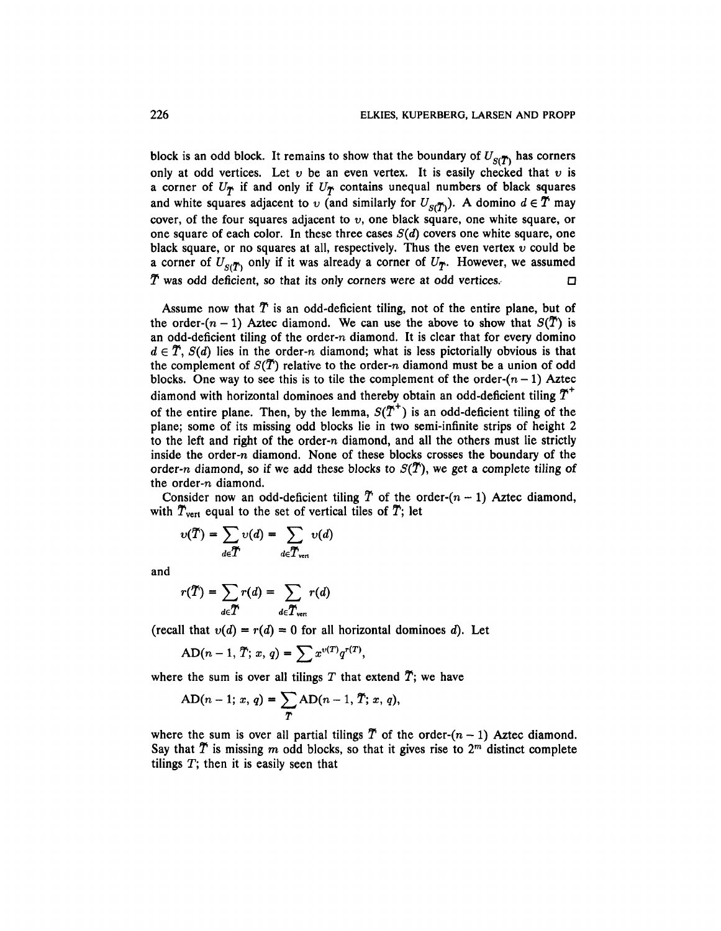block is an odd block. It remains to show that the boundary of  $U_{\mathcal{S}(\mathcal{T})}$  has corners only at odd vertices. Let  $v$  be an even vertex. It is easily checked that  $v$  is a corner of  $U_T$  if and only if  $U_T$  contains unequal numbers of black squares and white squares adjacent to v (and similarly for  $U_{\text{S}(\tilde{T})}$ ). A domino  $d \in \tilde{T}$  may cover, of the four squares adjacent to  $v$ , one black square, one white square, or one square of each color. In these three cases  $S(d)$  covers one white square, one black square, or no squares at all, respectively. Thus the even vertex *v* could be a corner of  $U_{S(T)}$  only if it was already a corner of  $U_T$ . However, we assumed  $\tilde{T}$  was odd deficient, so that its only corners were at odd vertices.

Assume now that *T* is an odd-deficient tiling, not of the entire plane, but of the order- $(n - 1)$  Aztec diamond. We can use the above to show that  $S(\overline{T})$  is an odd-deficient tiling of the order-n diamond. It is clear that for every domino  $d \in \tilde{T}$ ,  $S(d)$  lies in the order-n diamond; what is less pictorially obvious is that the complement of  $S(\tilde{T})$  relative to the order-n diamond must be a union of odd blocks. One way to see this is to tile the complement of the order- $(n - 1)$  Aztec diamond with horizontal dominoes and thereby obtain an odd-deficient tiling *T* of the entire plane. Then, by the lemma,  $S(T^+)$  is an odd-deficient tiling of the plane; some of its missing odd blocks lie in two semi-infinite strips of height 2 to the left and right of the order-n diamond, and all the others must lie strictly inside the order-n diamond. None of these blocks crosses the boundary of the order-n diamond, so if we add these blocks to  $S(T)$ , we get a complete tiling of the order-n diamond.

Consider now an odd-deficient tiling  $\tilde{T}$  of the order- $(n - 1)$  Aztec diamond, with  $\tilde{T}_{vert}$  equal to the set of vertical tiles of  $\tilde{T}$ ; let

$$
v(\widetilde{T}) = \sum_{d \in \widetilde{T}} v(d) = \sum_{d \in \widetilde{T}_{\text{vert}}} v(d)
$$

and

$$
r(\widetilde{T}) = \sum_{d \in \widetilde{T}} r(d) = \sum_{d \in \widetilde{T}_{\text{vert}}} r(d)
$$

(recall that  $v(d) = r(d) = 0$  for all horizontal dominoes d). Let

$$
AD(n-1, T; x, q) = \sum x^{v(T)} q^{r(T)},
$$

where the sum is over all tilings T that extend  $\tilde{T}$ ; we have

$$
AD(n-1; x, q) = \sum_{T} AD(n-1, T; x, q),
$$

where the sum is over all partial tilings  $\tilde{T}$  of the order- $(n - 1)$  Aztec diamond. Say that  $\tilde{T}$  is missing m odd blocks, so that it gives rise to  $2^m$  distinct complete tilings  $T$ ; then it is easily seen that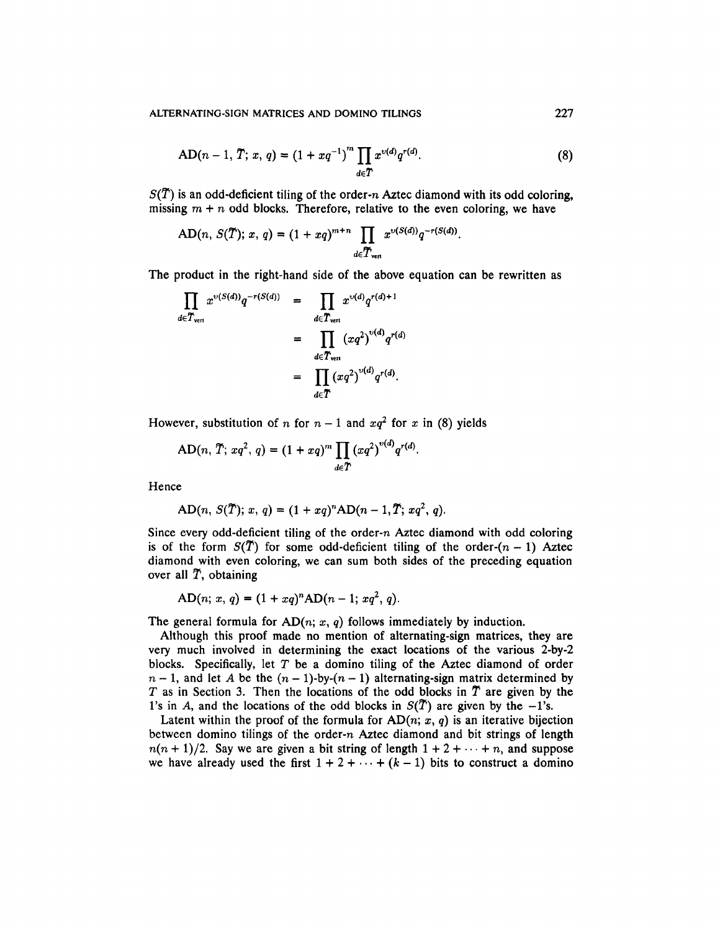AD(n-1, T; x, q) = 
$$
(1 + xq^{-1})^m \prod_{d \in T} x^{v(d)} q^{r(d)}
$$
. (8)

 $S(\tilde{T})$  is an odd-deficient tiling of the order-n Aztec diamond with its odd coloring, missing  $m + n$  odd blocks. Therefore, relative to the even coloring, we have

AD(n, 
$$
S(\tilde{T})
$$
; x, q) =  $(1 + xq)^{m+n} \prod_{d \in \tilde{T}_{\text{vert}}} x^{\nu(S(d))} q^{-r(S(d))}$ 

The product in the right-hand side of the above equation can be rewritten as

$$
\prod_{d \in T_{\text{vert}}} x^{\upsilon(S(d))} q^{-r(S(d))} = \prod_{d \in T_{\text{vert}}} x^{\upsilon(d)} q^{r(d)+1}
$$
\n
$$
= \prod_{d \in T_{\text{vert}}} (xq^2)^{\upsilon(d)} q^{r(d)}
$$
\n
$$
= \prod_{d \in T} (xq^2)^{\upsilon(d)} q^{r(d)}.
$$

However, substitution of *n* for  $n-1$  and  $xq^2$  for *x* in (8) yields

$$
AD(n, T; xq^2, q) = (1 + xq)^m \prod_{d \in T} (xq^2)^{v(d)} q^{r(d)}.
$$

Hence

$$
AD(n, S(\tilde{T}); x, q) = (1 + xq)^n AD(n - 1, \tilde{T}; xq^2, q).
$$

Since every odd-deficient tiling of the order-n Aztec diamond with odd coloring is of the form  $S(T)$  for some odd-deficient tiling of the order- $(n - 1)$  Aztec diamond with even coloring, we can sum both sides of the preceding equation over all  $\tilde{T}$ , obtaining

$$
AD(n; x, q) = (1 + xq)^{n} AD(n - 1; xq^{2}, q)
$$

The general formula for  $AD(n; x, q)$  follows immediately by induction.

Although this proof made no mention of alternating-sign matrices, they are very much involved in determining the exact locations of the various 2-by-2 blocks. Specifically, let  $T$  be a domino tiling of the Aztec diamond of order  $n-1$ , and let A be the  $(n-1)$ -by- $(n-1)$  alternating-sign matrix determined by T as in Section 3. Then the locations of the odd blocks in  $\tilde{T}$  are given by the 1's in A, and the locations of the odd blocks in  $S(\tilde{T})$  are given by the  $-1$ 's.

Latent within the proof of the formula for  $AD(n; x, q)$  is an iterative bijection between domino tilings of the order-n Aztec diamond and bit strings of length  $n(n + 1)/2$ . Say we are given a bit string of length  $1 + 2 + \cdots + n$ , and suppose we have already used the first  $1 + 2 + \cdots + (k-1)$  bits to construct a domino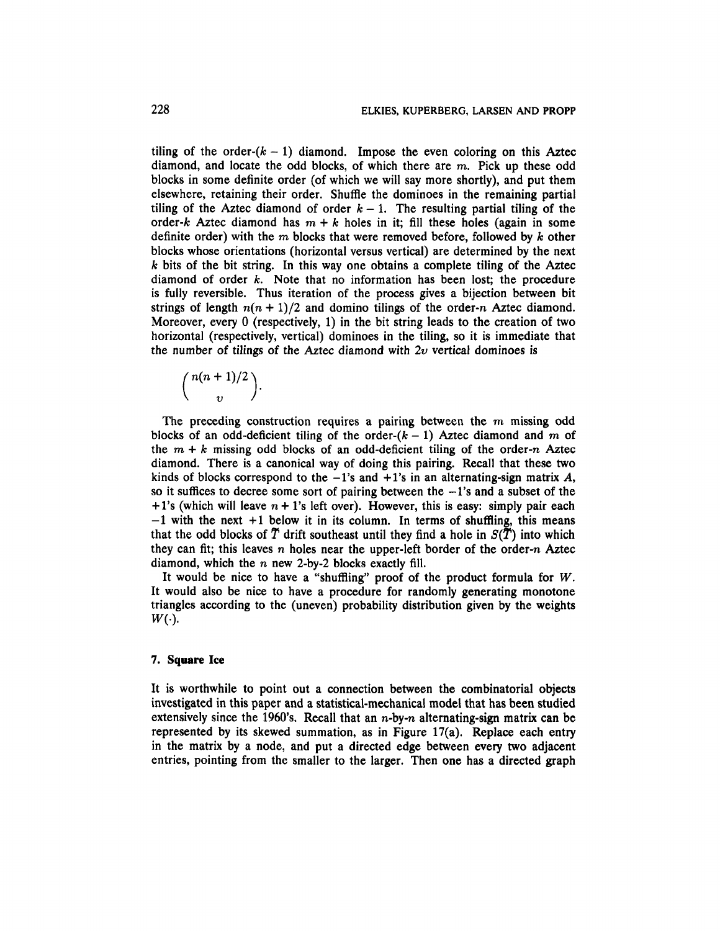tiling of the order- $(k - 1)$  diamond. Impose the even coloring on this Aztec diamond, and locate the odd blocks, of which there are m. Pick up these odd blocks in some definite order (of which we will say more shortly), and put them elsewhere, retaining their order. Shuffle the dominoes in the remaining partial tiling of the Aztec diamond of order  $k-1$ . The resulting partial tiling of the order-k Aztec diamond has  $m + k$  holes in it; fill these holes (again in some definite order) with the m blocks that were removed before, followed by *k* other blocks whose orientations (horizontal versus vertical) are determined by the next *k* bits of the bit string. In this way one obtains a complete tiling of the Aztec diamond of order  $k$ . Note that no information has been lost; the procedure is fully reversible. Thus iteration of the process gives a bijection between bit strings of length  $n(n + 1)/2$  and domino tilings of the order-n Aztec diamond. Moreover, every 0 (respectively, 1) in the bit string leads to the creation of two horizontal (respectively, vertical) dominoes in the tiling, so it is immediate that the number of tilings of the Aztec diamond with *2v* vertical dominoes is

$$
\binom{n(n+1)/2}{v}.
$$

The preceding construction requires a pairing between the *m* missing odd blocks of an odd-deficient tiling of the order- $(k - 1)$  Aztec diamond and m of the  $m + k$  missing odd blocks of an odd-deficient tiling of the order-n Aztec diamond. There is a canonical way of doing this pairing. Recall that these two kinds of blocks correspond to the  $-1$ 's and  $+1$ 's in an alternating-sign matrix A, so it suffices to decree some sort of pairing between the  $-1$ 's and a subset of the + l's (which will leave *n +* 1's left over). However, this is easy: simply pair each  $-1$  with the next  $+1$  below it in its column. In terms of shuffling, this means that the odd blocks of  $\tilde{T}$  drift southeast until they find a hole in  $S(\tilde{T})$  into which they can fit; this leaves n holes near the upper-left border of the order-n Aztec diamond, which the  $n$  new 2-by-2 blocks exactly fill.

It would be nice to have a "shuffling" proof of the product formula for *W.* It would also be nice to have a procedure for randomly generating monotone triangles according to the (uneven) probability distribution given by the weights *W(. ).*

#### **7. Square Ice**

It is worthwhile to point out a connection between the combinatorial objects investigated in this paper and a statistical-mechanical model that has been studied extensively since the 1960's. Recall that an  $n$ -by-n alternating-sign matrix can be represented by its skewed summation, as in Figure 17(a). Replace each entry in the matrix by a node, and put a directed edge between every two adjacent entries, pointing from the smaller to the larger. Then one has a directed graph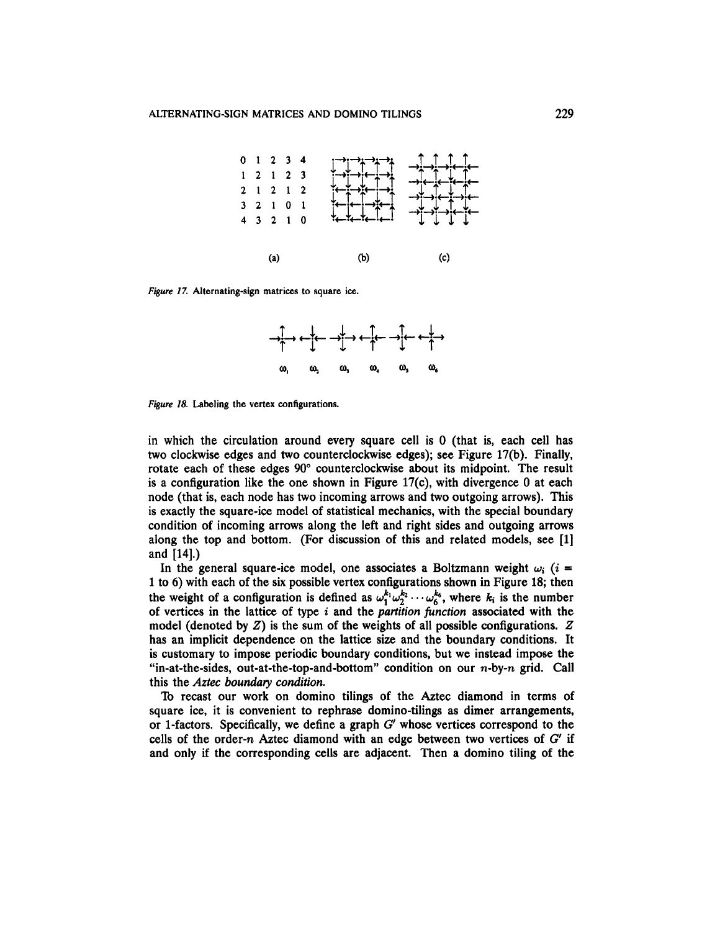

*Figure 17.* Alternating-sign matrices to square ice.



*Figure 18.* Labeling the vertex configurations.

in which the circulation around every square cell is 0 (that is, each cell has two clockwise edges and two counterclockwise edges); see Figure 17(b). Finally, rotate each of these edges 90° counterclockwise about its midpoint. The result is a configuration like the one shown in Figure 17(c), with divergence 0 at each node (that is, each node has two incoming arrows and two outgoing arrows). This is exactly the square-ice model of statistical mechanics, with the special boundary condition of incoming arrows along the left and right sides and outgoing arrows along the top and bottom. (For discussion of this and related models, see [1] and [14].)

In the general square-ice model, one associates a Boltzmann weight  $\omega_i$  (*i* = 1 to 6) with each of the six possible vertex configurations shown in Figure 18; then the weight of a configuration is defined as  $\omega_1^{k_1}\omega_2^{k_2}\cdots \omega_6^{k_6}$ , where  $k_i$  is the number of vertices in the lattice of type *i* and the *partition function* associated with the model (denoted by *Z)* is the sum of the weights of all possible configurations. *Z* has an implicit dependence on the lattice size and the boundary conditions. It is customary to impose periodic boundary conditions, but we instead impose the "in-at-the-sides, out-at-the-top-and-bottom" condition on our  $n$ -by- $n$  grid. Call this the *Aztec boundary condition.*

To recast our work on domino tilings of the Aztec diamond in terms of square ice, it is convenient to rephrase domino-tilings as dimer arrangements, or 1-factors. Specifically, we define a graph *G'* whose vertices correspond to the cells of the order-n Aztec diamond with an edge between two vertices of *G'* if and only if the corresponding cells are adjacent. Then a domino tiling of the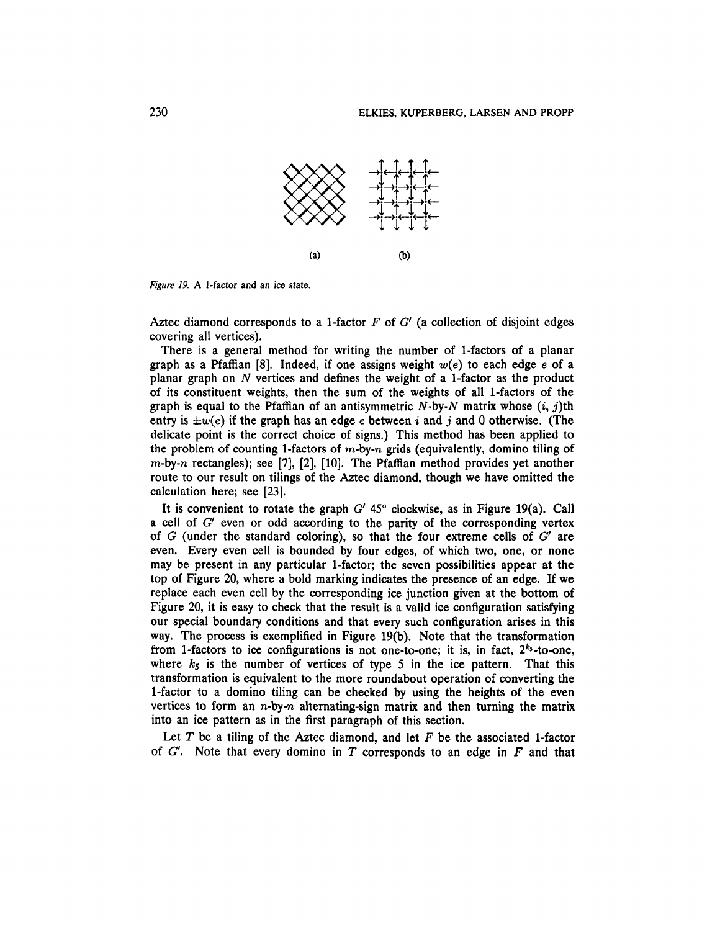

*Figure 19, A* 1-factor and an ice state.

Aztec diamond corresponds to a 1-factor *F* of *G* (a collection of disjoint edges covering all vertices).

There is a general method for writing the number of 1-factors of a planar graph as a Pfaffian [8]. Indeed, if one assigns weight *w(e)* to each edge *e of a* planar graph on *N* vertices and defines the weight of a 1-factor as the product of its constituent weights, then the sum of the weights of all 1-factors of the graph is equal to the Pfaffian of an antisymmetric  $N$ -by- $N$  matrix whose  $(i, j)$ th entry is *±w(e)* if the graph has an edge *e* between *i* and *j* and 0 otherwise. (The delicate point is the correct choice of signs.) This method has been applied to the problem of counting 1-factors of  $m$ -by-n grids (equivalently, domino tiling of  $m$ -by-n rectangles); see [7], [2], [10]. The Pfaffian method provides yet another route to our result on tilings of the Aztec diamond, though we have omitted the calculation here; see [23].

It is convenient to rotate the graph *G'* 45° clockwise, as in Figure 19(a). Call a cell of *G'* even or odd according to the parity of the corresponding vertex of *G* (under the standard coloring), so that the four extreme cells of *G'* are even. Every even cell is bounded by four edges, of which two, one, or none may be present in any particular 1-factor; the seven possibilities appear at the top of Figure 20, where a bold marking indicates the presence of an edge. If we replace each even cell by the corresponding ice junction given at the bottom of Figure 20, it is easy to check that the result is a valid ice configuration satisfying our special boundary conditions and that every such configuration arises in this way. The process is exemplified in Figure 19(b). Note that the transformation from 1-factors to ice configurations is not one-to-one; it is, in fact,  $2^{k_5}$ -to-one, where  $k_5$  is the number of vertices of type 5 in the ice pattern. That this transformation is equivalent to the more roundabout operation of converting the 1-factor to a domino tiling can be checked by using the heights of the even vertices to form an  $n$ -by-n alternating-sign matrix and then turning the matrix into an ice pattern as in the first paragraph of this section.

Let *T* be a tiling of the Aztec diamond, and let *F* be the associated 1-factor of *G'.* Note that every domino in *T* corresponds to an edge in *F* and that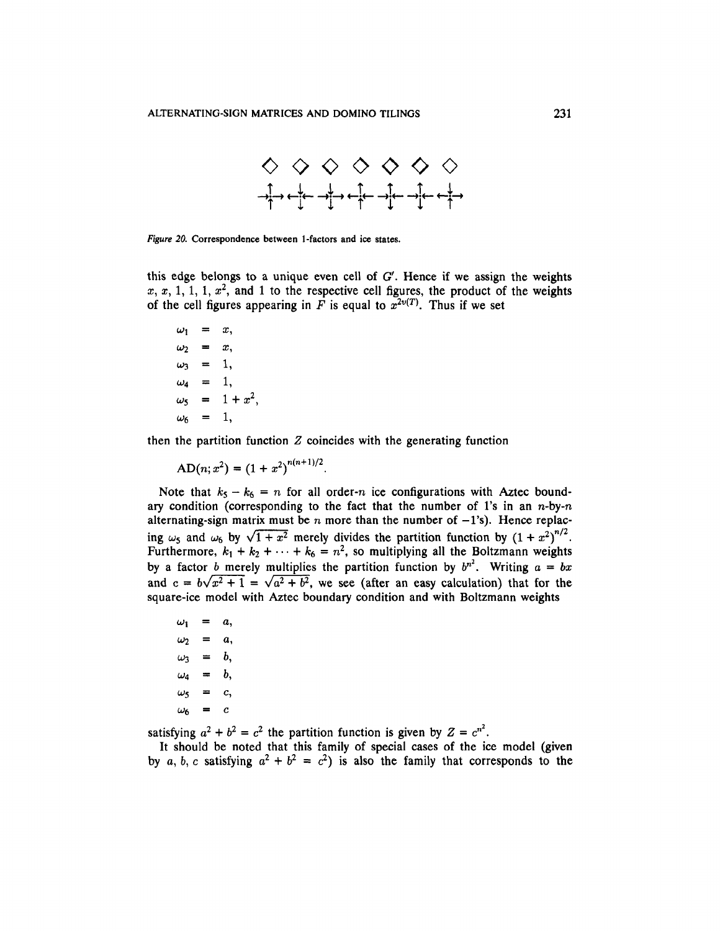

*Figure 20.* Correspondence between 1-factors and ice states.

this edge belongs to a unique even cell of *G'.* Hence if we assign the weights  $x, x, 1, 1, 1, x^2$ , and 1 to the respective cell figures, the product of the weights of the cell figures appearing in  $\vec{F}$  is equal to  $\vec{x}^{2\nu(T)}$ . Thus if we set

 $\omega_1 = x$ ,  $\omega_2 = x$ ,  $\omega_3 = 1$ ,  $\omega_4 = 1$ ,  $\omega_5 = 1 + x^2$ ,  $\omega_6 = 1$ ,

then the partition function *Z* coincides with the generating function

$$
AD(n; x^2) = (1 + x^2)^{n(n+1)/2}.
$$

Note that  $k_5 - k_6 = n$  for all order-n ice configurations with Aztec boundary condition (corresponding to the fact that the number of 1's in an  $n$ -by- $n$ alternating-sign matrix must be n more than the number of  $-1$ 's). Hence replacing  $\omega_5$  and  $\omega_6$  by  $\sqrt{1+x^2}$  merely divides the partition function by  $(1+x^2)^{n/2}$ . Furthermore,  $k_1 + k_2 + \cdots + k_6 = n^2$ , so multiplying all the Boltzmann weights by a factor *b* merely multiplies the partition function by  $b^{n^2}$ . Writing  $a = bx$ and  $c = b\sqrt{x^2 + 1} = \sqrt{a^2 + b^2}$ , we see (after an easy calculation) that for the square-ice model with Aztec boundary condition and with Boltzmann weights

$$
\begin{aligned}\n\omega_1 &= a, \\
\omega_2 &= a, \\
\omega_3 &= b, \\
\omega_4 &= b, \\
\omega_5 &= c, \\
\omega_6 &= c\n\end{aligned}
$$

satisfying  $a^2 + b^2 = c^2$  the partition function is given by  $Z = c^{n^2}$ .

It should be noted that this family of special cases of the ice model (given by a, b, c satisfying  $a^2 + b^2 = c^2$ ) is also the family that corresponds to the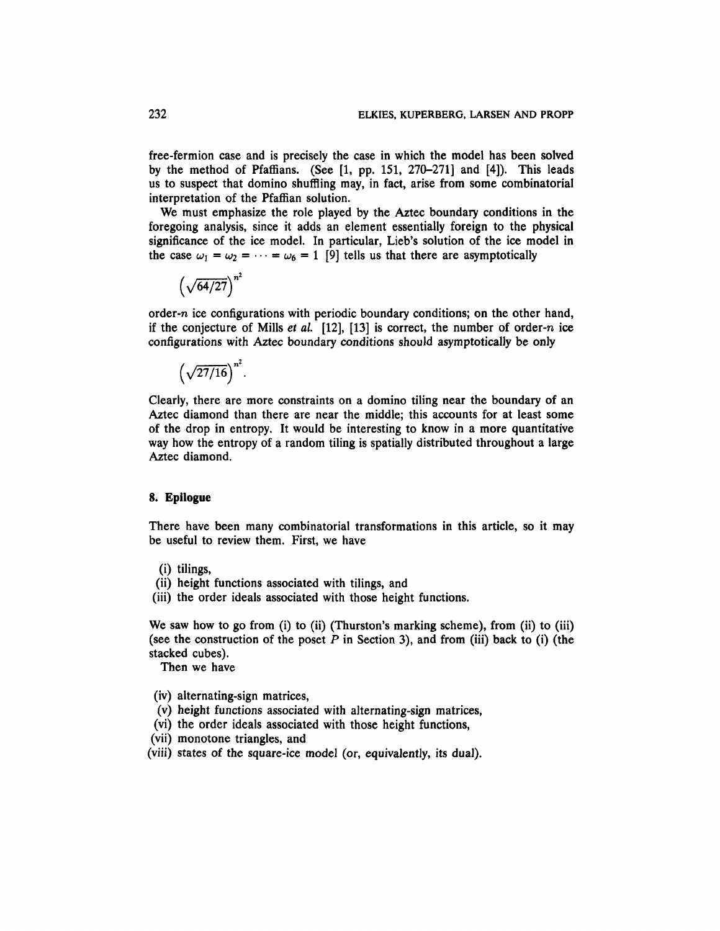free-fermion case and is precisely the case in which the model has been solved by the method of Pfaffians. (See  $[1, pp. 151, 270-271]$  and  $[4]$ ). This leads us to suspect that domino shuffling may, in fact, arise from some combinatorial interpretation of the Pfaffian solution.

We must emphasize the role played by the Aztec boundary conditions in the foregoing analysis, since it adds an element essentially foreign to the physical significance of the ice model. In particular, Lieb's solution of the ice model in the case  $\omega_1 = \omega_2 = \cdots = \omega_6 = 1$  [9] tells us that there are asymptotically

$$
\left(\sqrt{64/27}\right)^{n^2}
$$

order-n ice configurations with periodic boundary conditions; on the other hand, if the conjecture of Mills *et al.* [12], [13] is correct, the number of order-n ice configurations with Aztec boundary conditions should asymptotically be only

$$
\left(\sqrt{27/16}\right)^{n^2}
$$

Clearly, there are more constraints on a domino tiling near the boundary of an Aztec diamond than there are near the middle; this accounts for at least some of the drop in entropy. It would be interesting to know in a more quantitative way how the entropy of a random tiling is spatially distributed throughout a large Aztec diamond.

## **8. Epilogue**

There have been many combinatorial transformations in this article, so it may be useful to review them. First, we have

- (i) tilings,
- (ii) height functions associated with tilings, and
- (iii) the order ideals associated with those height functions.

We saw how to go from (i) to (ii) (Thurston's marking scheme), from (ii) to (iii) (see the construction of the poset *P* in Section 3), and from (iii) back to (i) (the stacked cubes).

Then we have

- (iv) alternating-sign matrices,
- (v) height functions associated with alternating-sign matrices,
- (vi) the order ideals associated with those height functions,
- (vii) monotone triangles, and
- (viii) states of the square-ice model (or, equivalently, its dual).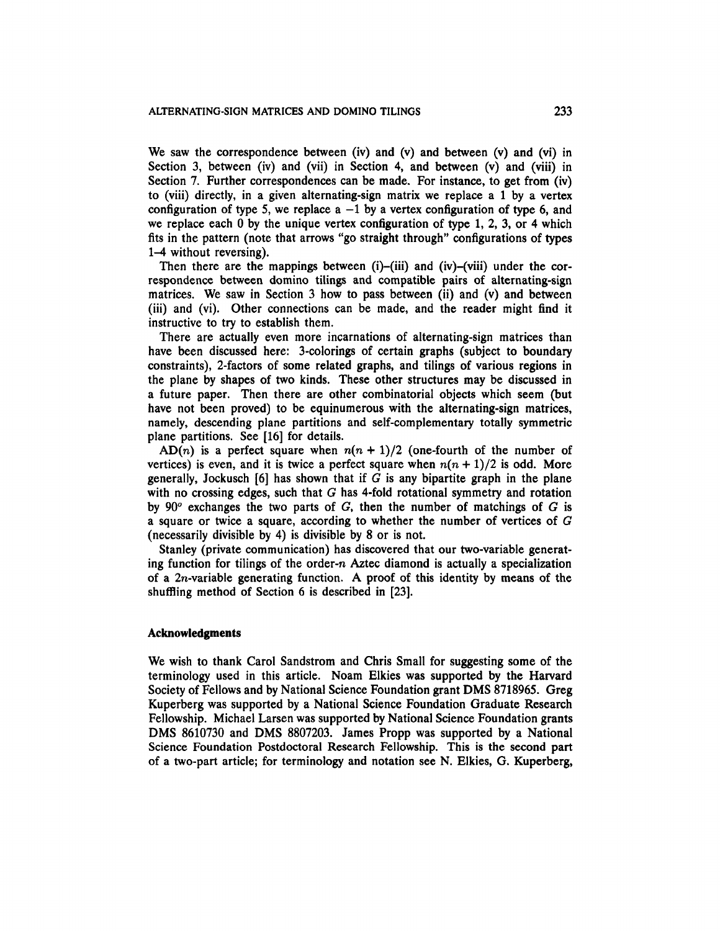We saw the correspondence between (iv) and (v) and between (v) and (vi) in Section 3, between (iv) and (vii) in Section 4, and between (v) and (viii) in Section 7. Further correspondences can be made. For instance, to get from (iv) to (viii) directly, in a given alternating-sign matrix we replace a 1 by a vertex configuration of type 5, we replace  $a -1$  by a vertex configuration of type 6, and we replace each 0 by the unique vertex configuration of type 1, 2, 3, or 4 which fits in the pattern (note that arrows "go straight through" configurations of types 1-4 without reversing).

Then there are the mappings between (i)-(iii) and (iv)-(viii) under the correspondence between domino tilings and compatible pairs of alternating-sign matrices. We saw in Section 3 how to pass between (ii) and (v) and between (iii) and (vi). Other connections can be made, and the reader might find it instructive to try to establish them.

There are actually even more incarnations of alternating-sign matrices than have been discussed here: 3-colorings of certain graphs (subject to boundary constraints), 2-factors of some related graphs, and tilings of various regions in the plane by shapes of two kinds. These other structures may be discussed in a future paper. Then there are other combinatorial objects which seem (but have not been proved) to be equinumerous with the alternating-sign matrices, namely, descending plane partitions and self-complementary totally symmetric plane partitions. See [16] for details.

 $AD(n)$  is a perfect square when  $n(n + 1)/2$  (one-fourth of the number of vertices) is even, and it is twice a perfect square when  $n(n + 1)/2$  is odd. More generally, Jockusch  $[6]$  has shown that if  $G$  is any bipartite graph in the plane with no crossing edges, such that *G* has 4-fold rotational symmetry and rotation by 90° exchanges the two parts of *G,* then the number of matchings of *G* is a square or twice a square, according to whether the number of vertices of *G* (necessarily divisible by 4) is divisible by 8 or is not.

Stanley (private communication) has discovered that our two-variable generating function for tilings of the order- $n$  Aztec diamond is actually a specialization of a 2n-variable generating function. A proof of this identity by means of the shuffling method of Section 6 is described in [23].

#### **Acknowledgments**

We wish to thank Carol Sandstrom and Chris Small for suggesting some of the terminology used in this article. Noam Elkies was supported by the Harvard Society of Fellows and by National Science Foundation grant DMS 8718965. Greg Kuperberg was supported by a National Science Foundation Graduate Research Fellowship. Michael Larsen was supported by National Science Foundation grants DMS 8610730 and DMS 8807203. James Propp was supported by a National Science Foundation Postdoctoral Research Fellowship. This is the second part of a two-part article; for terminology and notation see N. Elkies, G. Kuperberg,